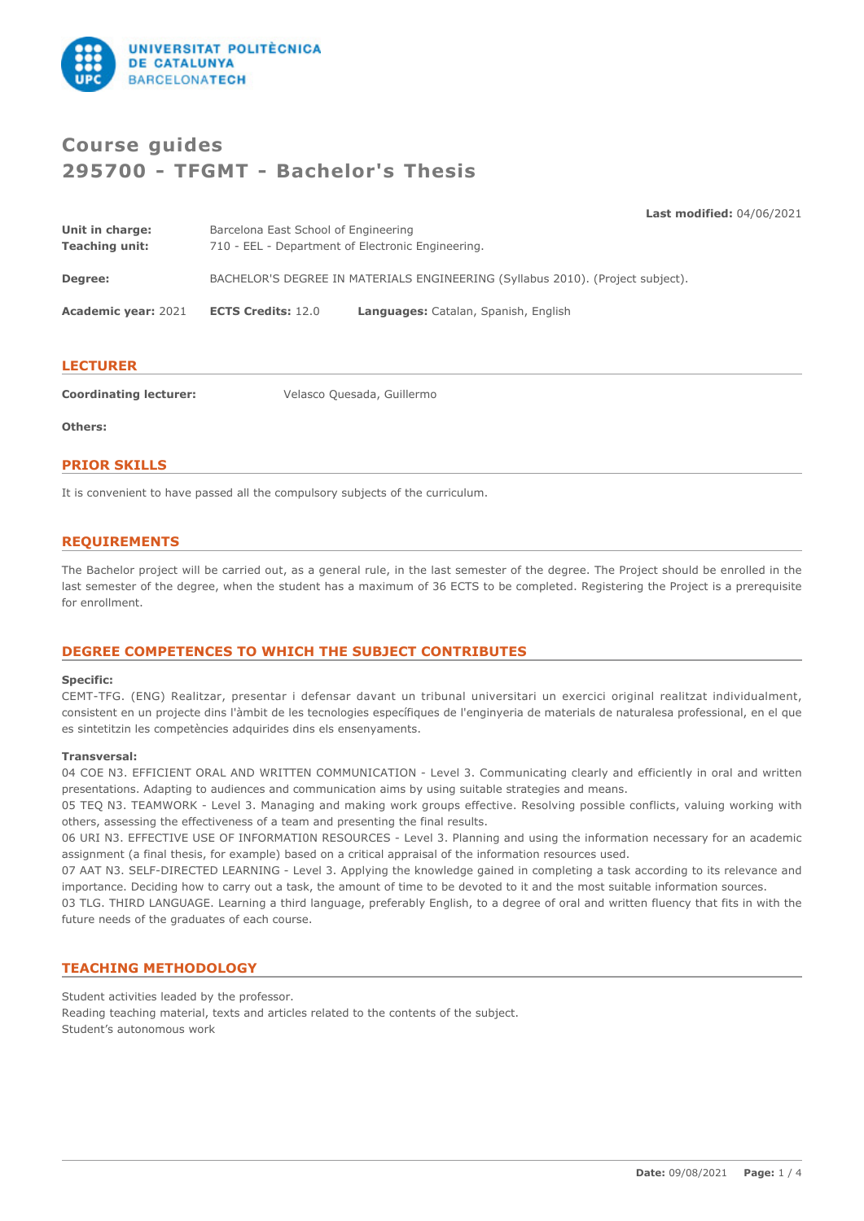

# **Course guides 295700 - TFGMT - Bachelor's Thesis**

**Last modified:** 04/06/2021

| Unit in charge:            | Barcelona East School of Engineering                                           |                                      |
|----------------------------|--------------------------------------------------------------------------------|--------------------------------------|
| <b>Teaching unit:</b>      | 710 - EEL - Department of Electronic Engineering.                              |                                      |
| Degree:                    | BACHELOR'S DEGREE IN MATERIALS ENGINEERING (Syllabus 2010). (Project subject). |                                      |
| <b>Academic year: 2021</b> | <b>ECTS Credits: 12.0</b>                                                      | Languages: Catalan, Spanish, English |

#### **LECTURER**

**Coordinating lecturer:** Velasco Quesada, Guillermo

**Others:**

#### **PRIOR SKILLS**

It is convenient to have passed all the compulsory subjects of the curriculum.

## **REQUIREMENTS**

The Bachelor project will be carried out, as a general rule, in the last semester of the degree. The Project should be enrolled in the last semester of the degree, when the student has a maximum of 36 ECTS to be completed. Registering the Project is a prerequisite for enrollment.

## **DEGREE COMPETENCES TO WHICH THE SUBJECT CONTRIBUTES**

#### **Specific:**

CEMT-TFG. (ENG) Realitzar, presentar i defensar davant un tribunal universitari un exercici original realitzat individualment, consistent en un projecte dins l'àmbit de les tecnologies específiques de l'enginyeria de materials de naturalesa professional, en el que es sintetitzin les competències adquirides dins els ensenyaments.

#### **Transversal:**

04 COE N3. EFFICIENT ORAL AND WRITTEN COMMUNICATION - Level 3. Communicating clearly and efficiently in oral and written presentations. Adapting to audiences and communication aims by using suitable strategies and means.

05 TEQ N3. TEAMWORK - Level 3. Managing and making work groups effective. Resolving possible conflicts, valuing working with others, assessing the effectiveness of a team and presenting the final results.

06 URI N3. EFFECTIVE USE OF INFORMATI0N RESOURCES - Level 3. Planning and using the information necessary for an academic assignment (a final thesis, for example) based on a critical appraisal of the information resources used.

07 AAT N3. SELF-DIRECTED LEARNING - Level 3. Applying the knowledge gained in completing a task according to its relevance and importance. Deciding how to carry out a task, the amount of time to be devoted to it and the most suitable information sources.

03 TLG. THIRD LANGUAGE. Learning a third language, preferably English, to a degree of oral and written fluency that fits in with the future needs of the graduates of each course.

#### **TEACHING METHODOLOGY**

Student activities leaded by the professor. Reading teaching material, texts and articles related to the contents of the subject. Student's autonomous work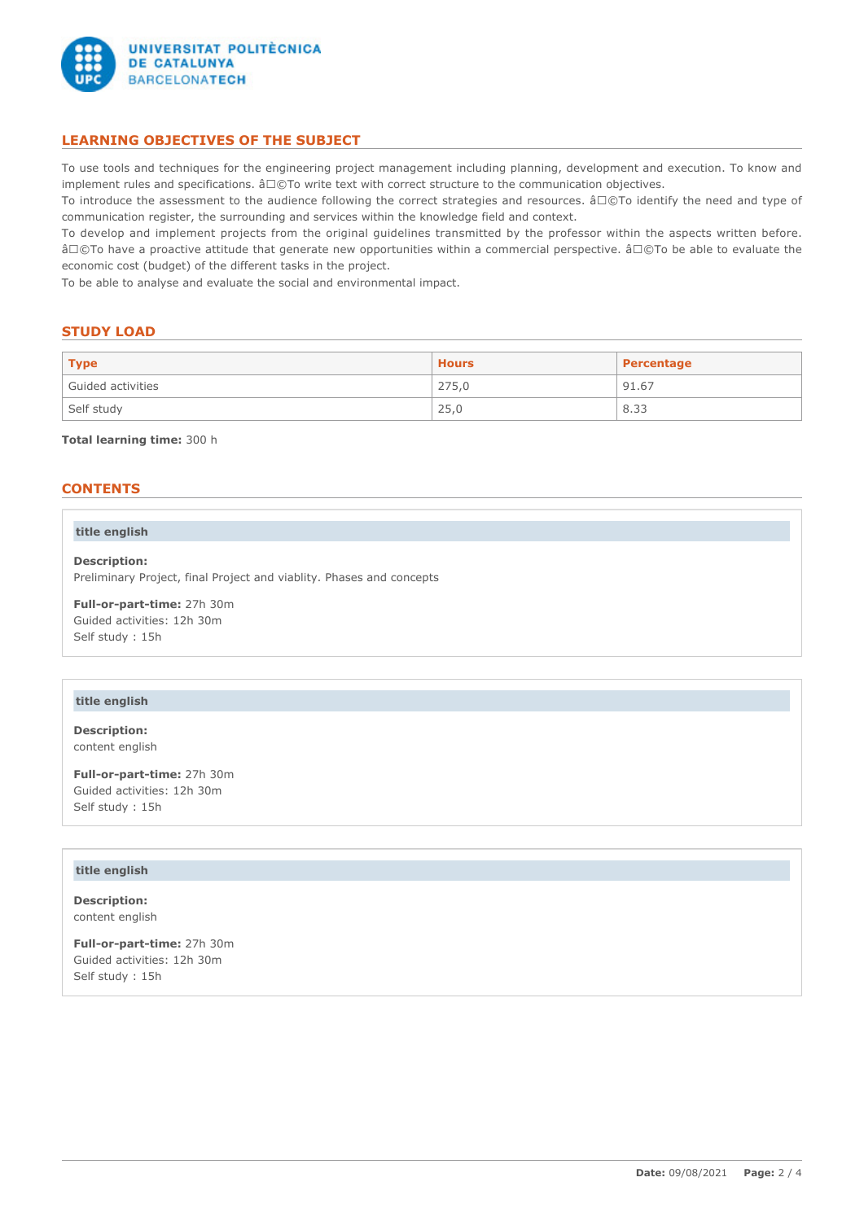

# **LEARNING OBJECTIVES OF THE SUBJECT**

To use tools and techniques for the engineering project management including planning, development and execution. To know and implement rules and specifications.  $â□@To$  write text with correct structure to the communication objectives.

To introduce the assessment to the audience following the correct strategies and resources. â□©To identify the need and type of communication register, the surrounding and services within the knowledge field and context.

To develop and implement projects from the original guidelines transmitted by the professor within the aspects written before. â©To have a proactive attitude that generate new opportunities within a commercial perspective. â©To be able to evaluate the economic cost (budget) of the different tasks in the project.

To be able to analyse and evaluate the social and environmental impact.

## **STUDY LOAD**

| <b>Type</b>       | <b>Hours</b> | Percentage |
|-------------------|--------------|------------|
| Guided activities | 275,0        | 91.67      |
| Self study        | 25,0         | 8.33       |

**Total learning time:** 300 h

## **CONTENTS**

#### **title english**

**Description:** Preliminary Project, final Project and viablity. Phases and concepts

**Full-or-part-time:** 27h 30m Guided activities: 12h 30m Self study : 15h

### **title english**

**Description:** content english

**Full-or-part-time:** 27h 30m Guided activities: 12h 30m Self study : 15h

#### **title english**

**Description:** content english

**Full-or-part-time:** 27h 30m Guided activities: 12h 30m Self study : 15h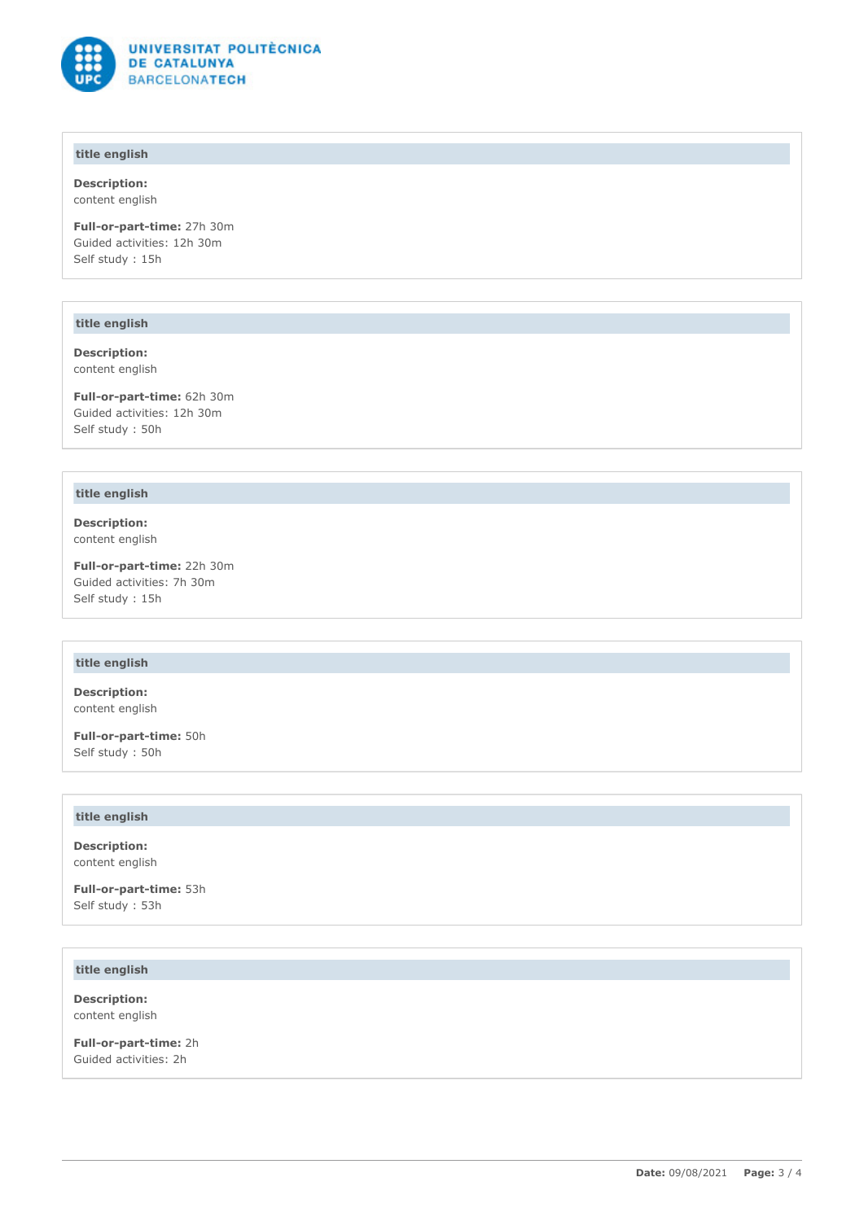

# **title english**

**Description:** content english

**Full-or-part-time:** 27h 30m Guided activities: 12h 30m Self study : 15h

#### **title english**

**Description:** content english

**Full-or-part-time:** 62h 30m Guided activities: 12h 30m Self study : 50h

#### **title english**

**Description:** content english

**Full-or-part-time:** 22h 30m Guided activities: 7h 30m Self study : 15h

# **title english**

**Description:** content english

**Full-or-part-time:** 50h Self study : 50h

### **title english**

**Description:** content english

**Full-or-part-time:** 53h Self study : 53h

# **title english**

**Description:** content english

**Full-or-part-time:** 2h Guided activities: 2h